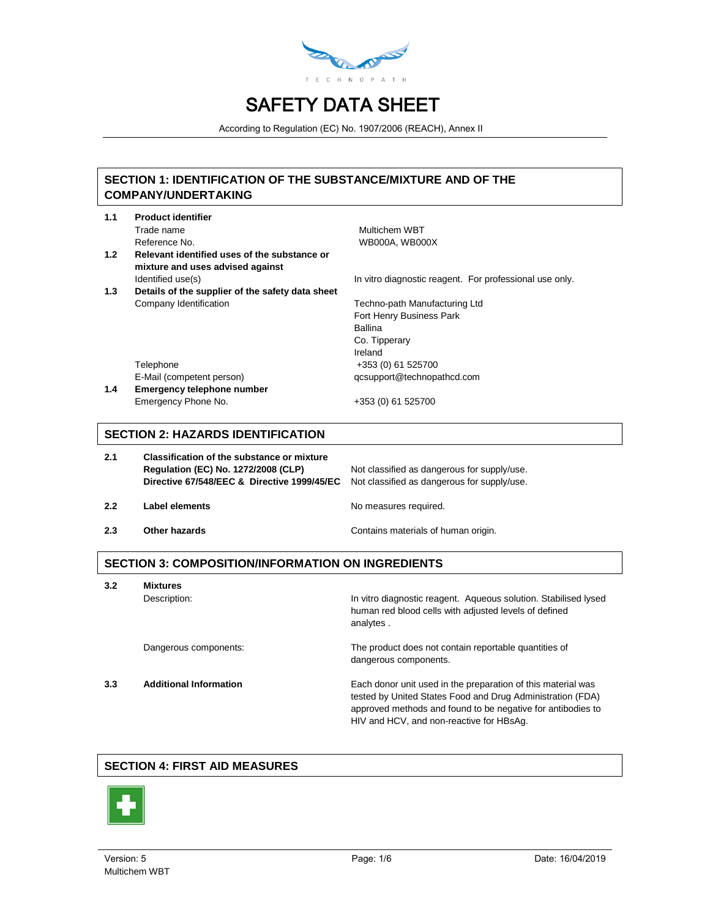

According to Regulation (EC) No. 1907/2006 (REACH), Annex II

### **SECTION 1: IDENTIFICATION OF THE SUBSTANCE/MIXTURE AND OF THE COMPANY/UNDERTAKING**

| 1.1 | <b>Product identifier</b>                                                        |                                                         |
|-----|----------------------------------------------------------------------------------|---------------------------------------------------------|
|     | Trade name                                                                       | Multichem WBT                                           |
|     | Reference No.                                                                    | <b>WB000A. WB000X</b>                                   |
| 1.2 | Relevant identified uses of the substance or<br>mixture and uses advised against |                                                         |
|     | Identified use(s)                                                                | In vitro diagnostic reagent. For professional use only. |
| 1.3 | Details of the supplier of the safety data sheet                                 |                                                         |
|     | Company Identification                                                           | Techno-path Manufacturing Ltd                           |
|     |                                                                                  | Fort Henry Business Park                                |
|     |                                                                                  | Ballina                                                 |
|     |                                                                                  | Co. Tipperary                                           |
|     |                                                                                  | Ireland                                                 |
|     | Telephone                                                                        | +353 (0) 61 525700                                      |
|     | E-Mail (competent person)                                                        | qcsupport@technopathcd.com                              |
| 1.4 | Emergency telephone number                                                       |                                                         |

Emergency Phone No. +353 (0) 61 525700

### **SECTION 2: HAZARDS IDENTIFICATION**

| 2.1 | <b>Classification of the substance or mixture</b><br>Regulation (EC) No. 1272/2008 (CLP)<br>Directive 67/548/EEC & Directive 1999/45/EC | Not classified as dangerous for supply/use.<br>Not classified as dangerous for supply/use. |
|-----|-----------------------------------------------------------------------------------------------------------------------------------------|--------------------------------------------------------------------------------------------|
| 2.2 | Label elements                                                                                                                          | No measures required.                                                                      |
| 2.3 | Other hazards                                                                                                                           | Contains materials of human origin.                                                        |

## **SECTION 3: COMPOSITION/INFORMATION ON INGREDIENTS**

**3.2 Mixtures**

Description: **In vitro diagnostic reagent.** Aqueous solution. Stabilised lysed human red blood cells with adjusted levels of defined analytes .

Dangerous components: The product does not contain reportable quantities of

**3.3 Additional Information** Each donor unit used in the preparation of this material was tested by United States Food and Drug Administration (FDA) approved methods and found to be negative for antibodies to HIV and HCV, and non-reactive for HBsAg.

### **SECTION 4: FIRST AID MEASURES**



dangerous components.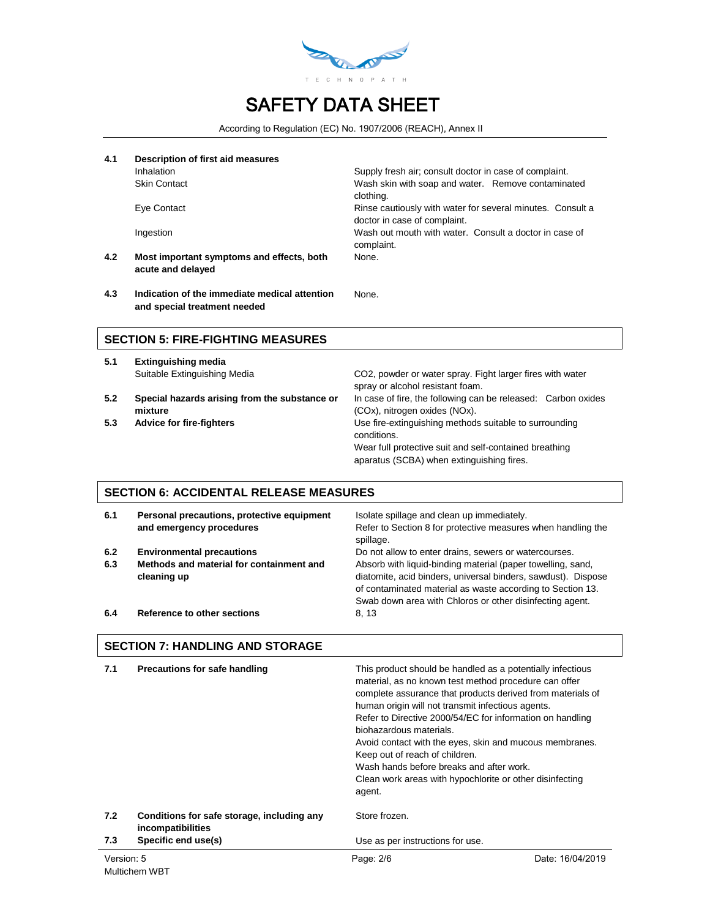

According to Regulation (EC) No. 1907/2006 (REACH), Annex II

| 4.1 | Description of first aid measures                                             |                                                                                            |
|-----|-------------------------------------------------------------------------------|--------------------------------------------------------------------------------------------|
|     | <b>Inhalation</b>                                                             | Supply fresh air; consult doctor in case of complaint.                                     |
|     | <b>Skin Contact</b>                                                           | Wash skin with soap and water. Remove contaminated<br>clothing.                            |
|     | Eye Contact                                                                   | Rinse cautiously with water for several minutes. Consult a<br>doctor in case of complaint. |
|     | Ingestion                                                                     | Wash out mouth with water. Consult a doctor in case of<br>complaint.                       |
| 4.2 | Most important symptoms and effects, both<br>acute and delayed                | None.                                                                                      |
| 4.3 | Indication of the immediate medical attention<br>and special treatment needed | None.                                                                                      |

#### **SECTION 5: FIRE-FIGHTING MEASURES**

- **5.1 Extinguishing media**
- **5.2 Special hazards arising from the substance or mixture**
- 

Suitable Extinguishing Media CO2, powder or water spray. Fight larger fires with water spray or alcohol resistant foam. In case of fire, the following can be released: Carbon oxides (COx), nitrogen oxides (NOx). **5.3 Advice for fire-fighters** Use fire-extinguishing methods suitable to surrounding conditions. Wear full protective suit and self-contained breathing aparatus (SCBA) when extinguishing fires.

### **SECTION 6: ACCIDENTAL RELEASE MEASURES**

| 6.1 | Personal precautions, protective equipment<br>and emergency procedures | Isolate spillage and clean up immediately.<br>Refer to Section 8 for protective measures when handling the<br>spillage.                                                                                                                                |
|-----|------------------------------------------------------------------------|--------------------------------------------------------------------------------------------------------------------------------------------------------------------------------------------------------------------------------------------------------|
| 6.2 | <b>Environmental precautions</b>                                       | Do not allow to enter drains, sewers or watercourses.                                                                                                                                                                                                  |
| 6.3 | Methods and material for containment and<br>cleaning up                | Absorb with liquid-binding material (paper towelling, sand,<br>diatomite, acid binders, universal binders, sawdust). Dispose<br>of contaminated material as waste according to Section 13.<br>Swab down area with Chloros or other disinfecting agent. |
| 6.4 | Reference to other sections                                            | 8.13                                                                                                                                                                                                                                                   |

#### **SECTION 7: HANDLING AND STORAGE**

| 7.1        | Precautions for safe handling                                   | This product should be handled as a potentially infectious<br>material, as no known test method procedure can offer<br>complete assurance that products derived from materials of<br>human origin will not transmit infectious agents.<br>Refer to Directive 2000/54/EC for information on handling<br>biohazardous materials.<br>Avoid contact with the eyes, skin and mucous membranes.<br>Keep out of reach of children.<br>Wash hands before breaks and after work.<br>Clean work areas with hypochlorite or other disinfecting<br>agent. |                  |
|------------|-----------------------------------------------------------------|-----------------------------------------------------------------------------------------------------------------------------------------------------------------------------------------------------------------------------------------------------------------------------------------------------------------------------------------------------------------------------------------------------------------------------------------------------------------------------------------------------------------------------------------------|------------------|
| 7.2        | Conditions for safe storage, including any<br>incompatibilities | Store frozen.                                                                                                                                                                                                                                                                                                                                                                                                                                                                                                                                 |                  |
| 7.3        | Specific end use(s)                                             | Use as per instructions for use.                                                                                                                                                                                                                                                                                                                                                                                                                                                                                                              |                  |
| Version: 5 | Multichem WBT                                                   | Page: 2/6                                                                                                                                                                                                                                                                                                                                                                                                                                                                                                                                     | Date: 16/04/2019 |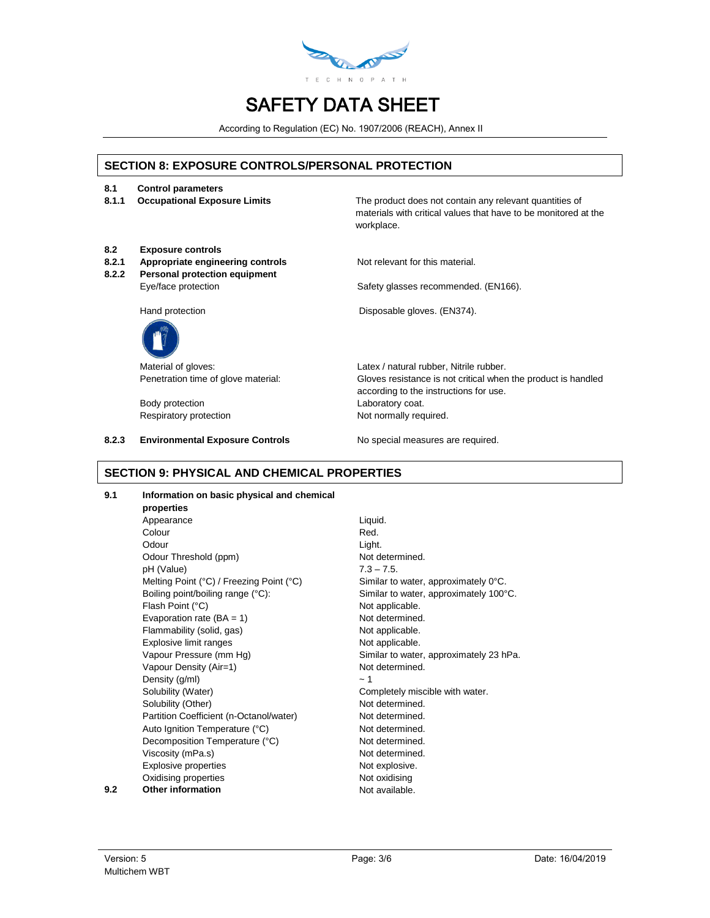

According to Regulation (EC) No. 1907/2006 (REACH), Annex II

### **SECTION 8: EXPOSURE CONTROLS/PERSONAL PROTECTION**

- **8.1 Control parameters**
- 

**8.1.1 Occupational Exposure Limits** The product does not contain any relevant quantities of materials with critical values that have to be monitored at the workplace.

- **8.2 Exposure controls**
- **Appropriate engineering controls** Not relevant for this material.
- **8.2.2 Personal protection equipment**

Eye/face protection Safety glasses recommended. (EN166).



Body protection **Laboratory coat.** Respiratory protection Not normally required.

**8.2.3 Environmental Exposure Controls No special measures are required.** 

Hand protection **EXECUTE:** Disposable gloves. (EN374).

Material of gloves:  $Lates / natural rubber$ , Nitrile rubber. Penetration time of glove material: Gloves resistance is not critical when the product is handled according to the instructions for use.

### **SECTION 9: PHYSICAL AND CHEMICAL PROPERTIES**

**9.1 Information on basic physical and chemical** 

**properties** Appearance Liquid. Colour **Red.** Odour **Light.** Odour Threshold (ppm) Not determined. pH (Value) 7.3 – 7.5. Melting Point (°C) / Freezing Point (°C) Similar to water, approximately 0°C. Boiling point/boiling range (°C): Similar to water, approximately 100°C. Flash Point (°C) and the contract of the Not applicable. Evaporation rate  $(BA = 1)$  Not determined. Flammability (solid, gas) Not applicable. Explosive limit ranges Not applicable. Vapour Pressure (mm Hg) Similar to water, approximately 23 hPa. Vapour Density (Air=1) Not determined. Density  $(g/ml)$   $\sim 1$ Solubility (Water) Completely miscible with water. Solubility (Other) Not determined. Partition Coefficient (n-Octanol/water) Not determined. Auto Ignition Temperature (°C) Not determined. Decomposition Temperature (°C) Not determined. Viscosity (mPa.s) Not determined. Explosive properties Not explosive. Oxidising properties Not oxidising **9.2 Other information Not available.**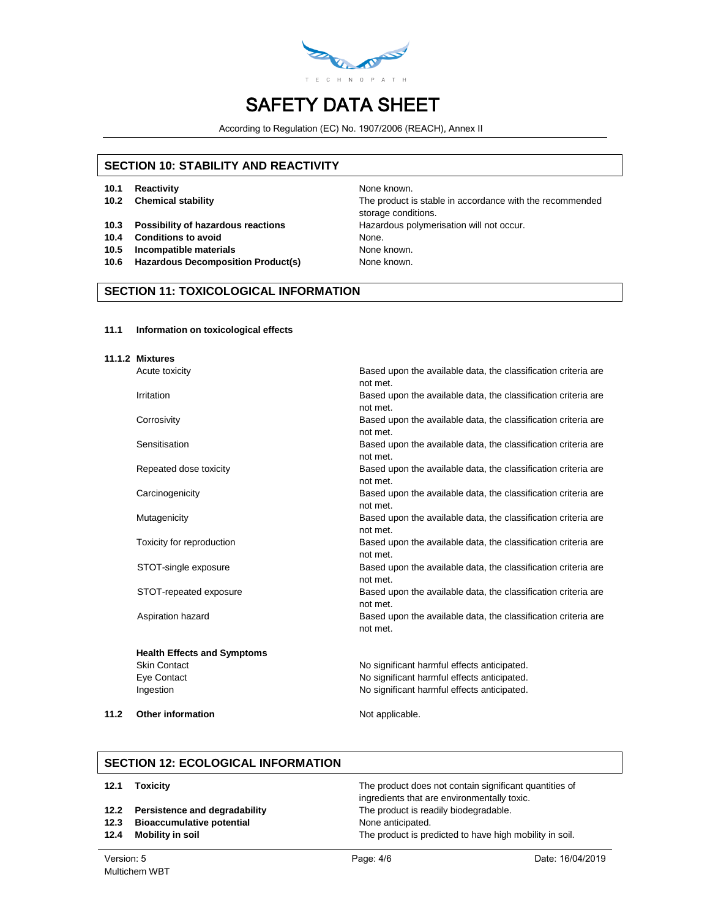

According to Regulation (EC) No. 1907/2006 (REACH), Annex II

### **SECTION 10: STABILITY AND REACTIVITY**

- **10.1 Reactivity None known.** None known.
- 
- **10.3 Possibility of hazardous reactions** Hazardous polymerisation will not occur.
- **10.4 Conditions to avoid** None.
- **10.5 Incompatible materials** None known.
- 10.6 **Hazardous Decomposition Product(s)** None known.

**10.2 Chemical stability** The product is stable in accordance with the recommended storage conditions.

### **SECTION 11: TOXICOLOGICAL INFORMATION**

#### **11.1 Information on toxicological effects**

| 11.1.2 Mixtures                    |                                                                                        |
|------------------------------------|----------------------------------------------------------------------------------------|
| Acute toxicity                     | Based upon the available data, the classification criteria are<br>not met.             |
| Irritation                         | Based upon the available data, the classification criteria are                         |
| Corrosivity                        | not met.<br>Based upon the available data, the classification criteria are<br>not met. |
| Sensitisation                      | Based upon the available data, the classification criteria are<br>not met.             |
| Repeated dose toxicity             | Based upon the available data, the classification criteria are<br>not met.             |
| Carcinogenicity                    | Based upon the available data, the classification criteria are<br>not met.             |
| Mutagenicity                       | Based upon the available data, the classification criteria are<br>not met.             |
| Toxicity for reproduction          | Based upon the available data, the classification criteria are<br>not met.             |
| STOT-single exposure               | Based upon the available data, the classification criteria are<br>not met.             |
| STOT-repeated exposure             | Based upon the available data, the classification criteria are<br>not met.             |
| Aspiration hazard                  | Based upon the available data, the classification criteria are<br>not met.             |
| <b>Health Effects and Symptoms</b> |                                                                                        |
| <b>Skin Contact</b>                | No significant harmful effects anticipated.                                            |
| Eye Contact                        | No significant harmful effects anticipated.                                            |
| Ingestion                          | No significant harmful effects anticipated.                                            |

**11.2 Other information** Not applicable.

#### **SECTION 12: ECOLOGICAL INFORMATION**

| 12.1 | <b>Toxicity</b> |
|------|-----------------|
|------|-----------------|

- 
- **12.3 Bioaccumulative potential None anticipated. None anticipated.**
- 

The product does not contain significant quantities of ingredients that are environmentally toxic. **12.2 Persistence and degradability** The product is readily biodegradable. **12.4 Mobility in soil 12.4 Mobility in soil.** The product is predicted to have high mobility in soil.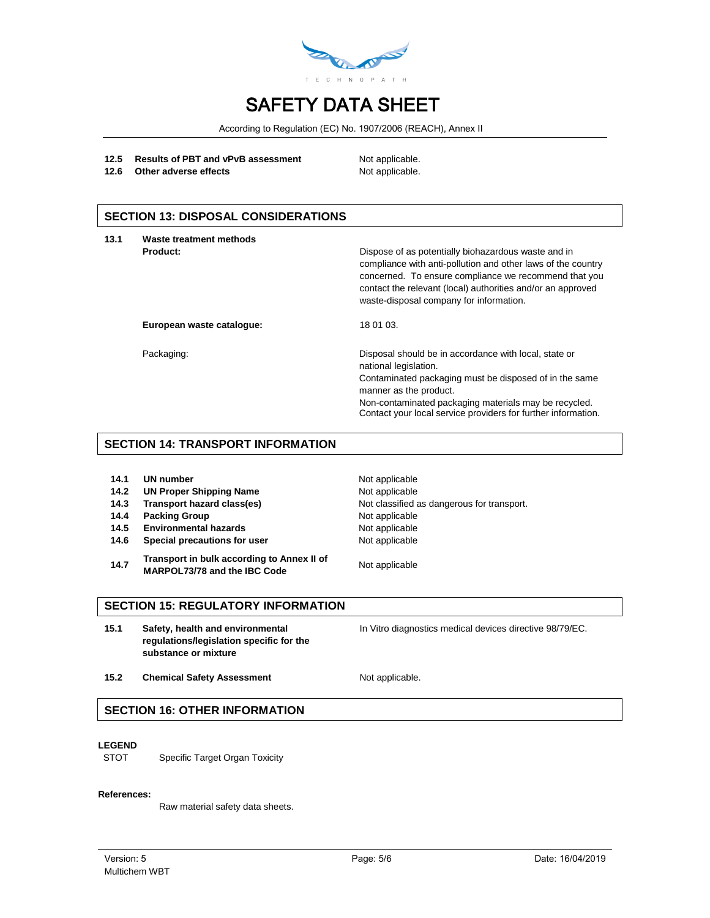

According to Regulation (EC) No. 1907/2006 (REACH), Annex II

#### 12.5 **Results of PBT and vPvB assessment** Not applicable.

**12.6** Other adverse effects Not applicable.

## **SECTION 13: DISPOSAL CONSIDERATIONS**

| 13.1 | Waste treatment methods<br>Product: | Dispose of as potentially biohazardous waste and in<br>compliance with anti-pollution and other laws of the country<br>concerned. To ensure compliance we recommend that you<br>contact the relevant (local) authorities and/or an approved                                                  |
|------|-------------------------------------|----------------------------------------------------------------------------------------------------------------------------------------------------------------------------------------------------------------------------------------------------------------------------------------------|
|      | European waste catalogue:           | waste-disposal company for information.<br>18 01 03.                                                                                                                                                                                                                                         |
|      | Packaging:                          | Disposal should be in accordance with local, state or<br>national legislation.<br>Contaminated packaging must be disposed of in the same<br>manner as the product.<br>Non-contaminated packaging materials may be recycled.<br>Contact your local service providers for further information. |

#### **SECTION 14: TRANSPORT INFORMATION**

- **14.2 UN Proper Shipping Name** Not applicable
- 
- **14.4 Packing Group Not applicable**
- 14.5 **Environmental hazards** Not applicable
- **14.6 Special precautions for user** Not applicable
- **14.7 Transport in bulk according to Annex II of MARPOL73/78 and the IBC Code** Not applicable

**Not applicable 14.3 Transport hazard class(es)** Not classified as dangerous for transport.

### **SECTION 15: REGULATORY INFORMATION**

**15.1 Safety, health and environmental regulations/legislation specific for the substance or mixture**

In Vitro diagnostics medical devices directive 98/79/EC.

15.2 **Chemical Safety Assessment** Not applicable.

### **SECTION 16: OTHER INFORMATION**

#### **LEGEND**

STOT Specific Target Organ Toxicity

#### **References:**

Raw material safety data sheets.